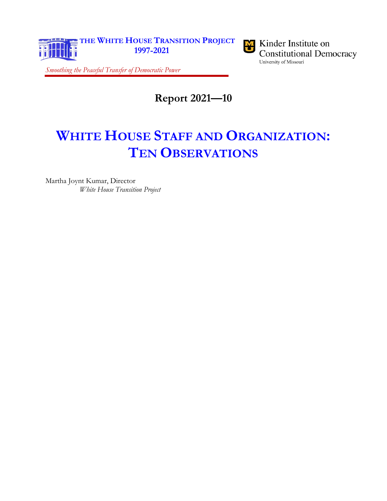



<span id="page-0-0"></span>*Smoothing the Peaceful Transfer of Democratic Power*

**Report 2021—10**

# **WHITE HOUSE STAFF AND ORGANIZATION: TEN OBSERVATIONS**

<span id="page-0-1"></span>Martha Joynt Kumar, Director *White House Transition Project*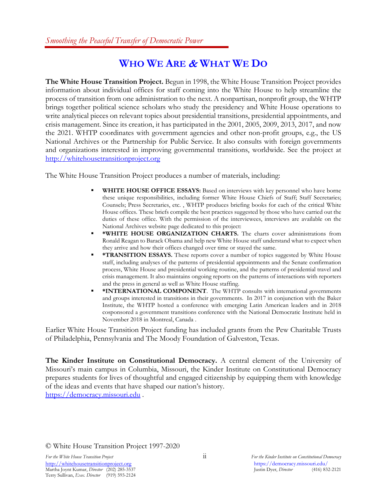### **WHO WE ARE** & **WHAT WE DO**

<span id="page-1-0"></span>**The White House Transition Project.** Begun in 1998, the White House Transition Project provides information about individual offices for staff coming into the White House to help streamline the process of transition from one administration to the next. A nonpartisan, nonprofit group, the WHTP brings together political science scholars who study the presidency and White House operations to write analytical pieces on relevant topics about presidential transitions, presidential appointments, and crisis management. Since its creation, it has participated in the 2001, 2005, 2009, 2013, 2017, and now the 2021. WHTP coordinates with government agencies and other non-profit groups, e.g., the US National Archives or the Partnership for Public Service. It also consults with foreign governments and organizations interested in improving governmental transitions, worldwide. See the project at [http://whitehousetransitionproject.org](http://whitehousetransitionproject.org/)

The White House Transition Project produces a number of materials, including:

- WHITE HOUSE OFFICE ESSAYS: Based on interviews with key personnel who have borne these unique responsibilities, including former White House Chiefs of Staff; Staff Secretaries; Counsels; Press Secretaries, etc. , WHTP produces briefing books for each of the critical White House offices. These briefs compile the best practices suggested by those who have carried out the duties of these office. With the permission of the interviewees, interviews are available on the National Archives website page dedicated to this project:
- **\*WHITE HOUSE ORGANIZATION CHARTS.** The charts cover administrations from Ronald Reagan to Barack Obama and help new White House staff understand what to expect when they arrive and how their offices changed over time or stayed the same.
- **\*TRANSITION ESSAYS.** These reports cover a number of topics suggested by White House staff, including analyses of the patterns of presidential appointments and the Senate confirmation process, White House and presidential working routine, and the patterns of presidential travel and crisis management. It also maintains ongoing reports on the patterns of interactions with reporters and the press in general as well as White House staffing.
- **\* \*INTERNATIONAL COMPONENT**. The WHTP consults with international governments and groups interested in transitions in their governments. In 2017 in conjunction with the Baker Institute, the WHTP hosted a conference with emerging Latin American leaders and in 2018 cosponsored a government transitions conference with the National Democratic Institute held in November 2018 in Montreal, Canada .

Earlier White House Transition Project funding has included grants from the Pew Charitable Trusts of Philadelphia, Pennsylvania and The Moody Foundation of Galveston, Texas.

**The Kinder Institute on Constitutional Democracy.** A central element of the University of Missouri's main campus in Columbia, Missouri, the Kinder Institute on Constitutional Democracy prepares students for lives of thoughtful and engaged citizenship by equipping them with knowledge of the ideas and events that have shaped our nation's history. [https://democracy.missouri.edu](https://democracy.missouri.edu/) .

© White House Transition Project 1997-2020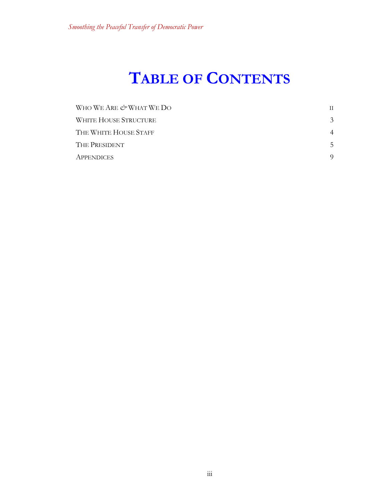# **TABLE OF CONTENTS**

| WHO WE ARE & WHAT WE DO | H.            |
|-------------------------|---------------|
| WHITE HOUSE STRUCTURE   | $\mathcal{E}$ |
| THE WHITE HOUSE STAFF   | 4             |
| THE PRESIDENT           | 5.            |
| <b>APPENDICES</b>       |               |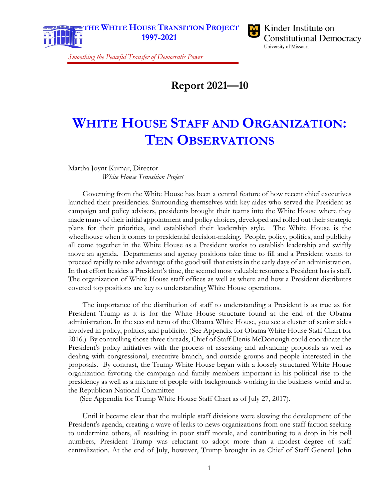

**Constitutional Democracy** University of Missouri

*Smoothing the Peaceful Transfer of Democratic Power*

**[Report 2021—10](#page-0-0)**

# **[WHITE HOUSE STAFF AND ORGANIZATION:](#page-0-0) [TEN OBSERVATIONS](#page-0-0)**

[Martha Joynt Kumar, Director](#page-0-1) *[White House Transition Project](#page-0-1)*

Governing from the White House has been a central feature of how recent chief executives launched their presidencies. Surrounding themselves with key aides who served the President as campaign and policy advisers, presidents brought their teams into the White House where they made many of their initial appointment and policy choices, developed and rolled out their strategic plans for their priorities, and established their leadership style. The White House is the wheelhouse when it comes to presidential decision-making. People, policy, politics, and publicity all come together in the White House as a President works to establish leadership and swiftly move an agenda. Departments and agency positions take time to fill and a President wants to proceed rapidly to take advantage of the good will that exists in the early days of an administration. In that effort besides a President's time, the second most valuable resource a President has is staff. The organization of White House staff offices as well as where and how a President distributes coveted top positions are key to understanding White House operations.

The importance of the distribution of staff to understanding a President is as true as for President Trump as it is for the White House structure found at the end of the Obama administration. In the second term of the Obama White House, you see a cluster of senior aides involved in policy, politics, and publicity. (See Appendix for Obama White House Staff Chart for 2016.) By controlling those three threads, Chief of Staff Denis McDonough could coordinate the President's policy initiatives with the process of assessing and advancing proposals as well as dealing with congressional, executive branch, and outside groups and people interested in the proposals. By contrast, the Trump White House began with a loosely structured White House organization favoring the campaign and family members important in his political rise to the presidency as well as a mixture of people with backgrounds working in the business world and at the Republican National Committee

(See Appendix for Trump White House Staff Chart as of July 27, 2017).

Until it became clear that the multiple staff divisions were slowing the development of the President's agenda, creating a wave of leaks to news organizations from one staff faction seeking to undermine others, all resulting in poor staff morale, and contributing to a drop in his poll numbers, President Trump was reluctant to adopt more than a modest degree of staff centralization. At the end of July, however, Trump brought in as Chief of Staff General John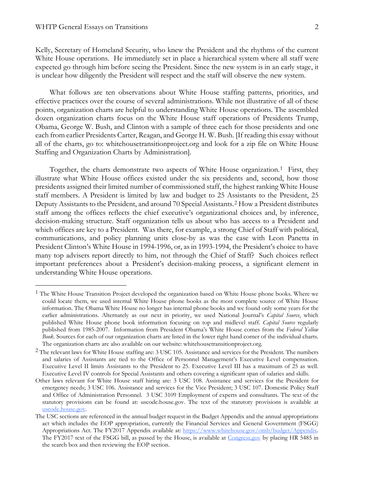Kelly, Secretary of Homeland Security, who knew the President and the rhythms of the current White House operations. He immediately set in place a hierarchical system where all staff were expected go through him before seeing the President. Since the new system is in an early stage, it is unclear how diligently the President will respect and the staff will observe the new system.

What follows are ten observations about White House staffing patterns, priorities, and effective practices over the course of several administrations. While not illustrative of all of these points, organization charts are helpful to understanding White House operations. The assembled dozen organization charts focus on the White House staff operations of Presidents Trump, Obama, George W. Bush, and Clinton with a sample of three each for those presidents and one each from earlier Presidents Carter, Reagan, and George H. W. Bush. [If reading this essay without all of the charts, go to: whitehousetransitionproject.org and look for a zip file on White House Staffing and Organization Charts by Administration].

Together, the charts demonstrate two aspects of White House organization.<sup>[1](#page-5-0)</sup> First, they illustrate what White House offices existed under the six presidents and, second, how those presidents assigned their limited number of commissioned staff, the highest ranking White House staff members. A President is limited by law and budget to 25 Assistants to the President, 25 Deputy Assistants to the President, and around 70 Special Assistants.[2](#page-5-1) How a President distributes staff among the offices reflects the chief executive's organizational choices and, by inference, decision-making structure. Staff organization tells us about who has access to a President and which offices are key to a President. Was there, for example, a strong Chief of Staff with political, communications, and policy planning units close-by as was the case with Leon Panetta in President Clinton's White House in 1994-1996, or, as in 1993-1994, the President's choice to have many top advisers report directly to him, not through the Chief of Staff? Such choices reflect important preferences about a President's decision-making process, a significant element in understanding White House operations.

<span id="page-5-0"></span><sup>&</sup>lt;sup>1</sup> The White House Transition Project developed the organization based on White House phone books. Where we could locate them, we used internal White House phone books as the most complete source of White House information. The Obama White House no longer has internal phone books and we found only some years for the earlier administrations. Alternately as our next in priority, we used National Journal's *Capital Source*, which published White House phone book information focusing on top and midlevel staff. *Capital Source* regularly published from 1985-2007. Information from President Obama's White House comes from the *Federal Yellow Book.* Sources for each of our organization charts are listed in the lower right hand corner of the individual charts. The organization charts are also available on our website: whitehousetransitionproject.org.

<span id="page-5-1"></span><sup>&</sup>lt;sup>2</sup> The relevant laws for White House staffing are: 3 USC 105. Assistance and services for the President. The numbers and salaries of Assistants are tied to the Office of Personnel Management's Executive Level compensation. Executive Level II limits Assistants to the President to 25. Executive Level III has a maximum of 25 as well. Executive Level IV controls for Special Assistants and others covering a significant span of salaries and skills.

Other laws relevant for White House staff hiring are: 3 USC 108. Assistance and services for the President for emergency needs; 3 USC 106. Assistance and services for the Vice President; 3 USC 107. Domestic Policy Staff and Office of Administration Personnel. 3 USC 3109 Employment of experts and consultants. The text of the statutory provisions can be found at: uscode.house.gov. The text of the statutory provisions is available at [uscode.house.gov.](http://uscode.house.gov/)

The USC sections are referenced in the annual budget request in the Budget Appendix and the annual appropriations act which includes the EOP appropriation, currently the Financial Services and General Government (FSGG) Appropriations Act. The FY2017 Appendix available at: [https://www.whitehouse.gov/omb/budget/Appendix.](https://www.whitehouse.gov/omb/budget/Appendix) The FY2017 text of the FSGG bill, as passed by the House, is available at [Congress.gov](http://congress.gov/) by placing HR 5485 in the search box and then reviewing the EOP section.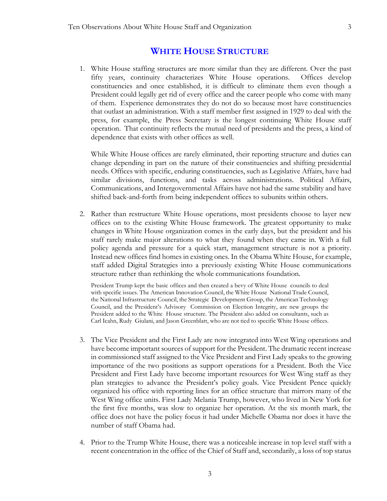#### **WHITE HOUSE STRUCTURE**

<span id="page-6-0"></span>1. White House staffing structures are more similar than they are different. Over the past fifty years, continuity characterizes White House operations. Offices develop constituencies and once established, it is difficult to eliminate them even though a President could legally get rid of every office and the career people who come with many of them. Experience demonstrates they do not do so because most have constituencies that outlast an administration. With a staff member first assigned in 1929 to deal with the press, for example, the Press Secretary is the longest continuing White House staff operation. That continuity reflects the mutual need of presidents and the press, a kind of dependence that exists with other offices as well.

While White House offices are rarely eliminated, their reporting structure and duties can change depending in part on the nature of their constituencies and shifting presidential needs. Offices with specific, enduring constituencies, such as Legislative Affairs, have had similar divisions, functions, and tasks across administrations. Political Affairs, Communications, and Intergovernmental Affairs have not had the same stability and have shifted back-and-forth from being independent offices to subunits within others.

2. Rather than restructure White House operations, most presidents choose to layer new offices on to the existing White House framework. The greatest opportunity to make changes in White House organization comes in the early days, but the president and his staff rarely make major alterations to what they found when they came in. With a full policy agenda and pressure for a quick start, management structure is not a priority. Instead new offices find homes in existing ones. In the Obama White House, for example, staff added Digital Strategies into a previously existing White House communications structure rather than rethinking the whole communications foundation.

President Trump kept the basic offices and then created a bevy of White House councils to deal with specific issues. The American Innovation Council, the White House National Trade Council, the National Infrastructure Council, the Strategic Development Group, the American Technology Council, and the President's Advisory Commission on Election Integrity, are new groups the President added to the White House structure. The President also added on consultants, such as Carl Icahn, Rudy Giulani, and Jason Greenblatt, who are not tied to specific White House offices.

- 3. The Vice President and the First Lady are now integrated into West Wing operations and have become important sources of support for the President. The dramatic recent increase in commissioned staff assigned to the Vice President and First Lady speaks to the growing importance of the two positions as support operations for a President. Both the Vice President and First Lady have become important resources for West Wing staff as they plan strategies to advance the President's policy goals. Vice President Pence quickly organized his office with reporting lines for an office structure that mirrors many of the West Wing office units. First Lady Melania Trump, however, who lived in New York for the first five months, was slow to organize her operation. At the six month mark, the office does not have the policy focus it had under Michelle Obama nor does it have the number of staff Obama had.
- 4. Prior to the Trump White House, there was a noticeable increase in top level staff with a recent concentration in the office of the Chief of Staff and, secondarily, a loss of top status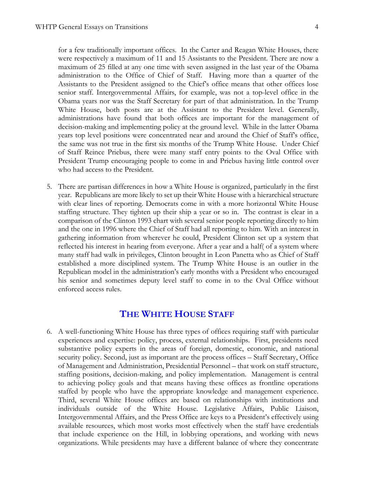for a few traditionally important offices. In the Carter and Reagan White Houses, there were respectively a maximum of 11 and 15 Assistants to the President. There are now a maximum of 25 filled at any one time with seven assigned in the last year of the Obama administration to the Office of Chief of Staff. Having more than a quarter of the Assistants to the President assigned to the Chief's office means that other offices lose senior staff. Intergovernmental Affairs, for example, was not a top-level office in the Obama years nor was the Staff Secretary for part of that administration. In the Trump White House, both posts are at the Assistant to the President level. Generally, administrations have found that both offices are important for the management of decision-making and implementing policy at the ground level. While in the latter Obama years top level positions were concentrated near and around the Chief of Staff's office, the same was not true in the first six months of the Trump White House. Under Chief of Staff Reince Priebus, there were many staff entry points to the Oval Office with President Trump encouraging people to come in and Priebus having little control over who had access to the President.

5. There are partisan differences in how a White House is organized, particularly in the first year. Republicans are more likely to set up their White House with a hierarchical structure with clear lines of reporting. Democrats come in with a more horizontal White House staffing structure. They tighten up their ship a year or so in. The contrast is clear in a comparison of the Clinton 1993 chart with several senior people reporting directly to him and the one in 1996 where the Chief of Staff had all reporting to him. With an interest in gathering information from wherever he could, President Clinton set up a system that reflected his interest in hearing from everyone. After a year and a half( of a system where many staff had walk in privileges, Clinton brought in Leon Panetta who as Chief of Staff established a more disciplined system. The Trump White House is an outlier in the Republican model in the administration's early months with a President who encouraged his senior and sometimes deputy level staff to come in to the Oval Office without enforced access rules.

#### **THE WHITE HOUSE STAFF**

<span id="page-7-0"></span>6. A well-functioning White House has three types of offices requiring staff with particular experiences and expertise: policy, process, external relationships. First, presidents need substantive policy experts in the areas of foreign, domestic, economic, and national security policy. Second, just as important are the process offices – Staff Secretary, Office of Management and Administration, Presidential Personnel – that work on staff structure, staffing positions, decision-making, and policy implementation. Management is central to achieving policy goals and that means having these offices as frontline operations staffed by people who have the appropriate knowledge and management experience. Third, several White House offices are based on relationships with institutions and individuals outside of the White House. Legislative Affairs, Public Liaison, Intergovernmental Affairs, and the Press Office are keys to a President's effectively using available resources, which most works most effectively when the staff have credentials that include experience on the Hill, in lobbying operations, and working with news organizations. While presidents may have a different balance of where they concentrate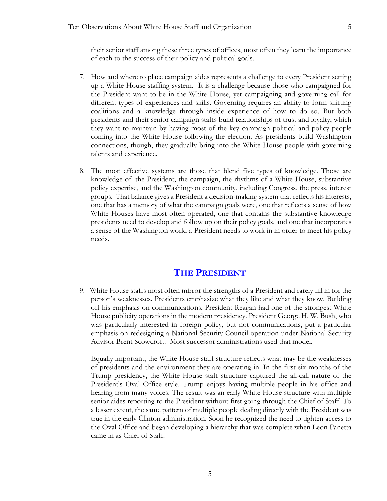their senior staff among these three types of offices, most often they learn the importance of each to the success of their policy and political goals.

- 7. How and where to place campaign aides represents a challenge to every President setting up a White House staffing system. It is a challenge because those who campaigned for the President want to be in the White House, yet campaigning and governing call for different types of experiences and skills. Governing requires an ability to form shifting coalitions and a knowledge through inside experience of how to do so. But both presidents and their senior campaign staffs build relationships of trust and loyalty, which they want to maintain by having most of the key campaign political and policy people coming into the White House following the election. As presidents build Washington connections, though, they gradually bring into the White House people with governing talents and experience.
- 8. The most effective systems are those that blend five types of knowledge. Those are knowledge of: the President, the campaign, the rhythms of a White House, substantive policy expertise, and the Washington community, including Congress, the press, interest groups. That balance gives a President a decision-making system that reflects his interests, one that has a memory of what the campaign goals were, one that reflects a sense of how White Houses have most often operated, one that contains the substantive knowledge presidents need to develop and follow up on their policy goals, and one that incorporates a sense of the Washington world a President needs to work in in order to meet his policy needs.

#### **THE PRESIDENT**

<span id="page-8-0"></span>9. White House staffs most often mirror the strengths of a President and rarely fill in for the person's weaknesses. Presidents emphasize what they like and what they know. Building off his emphasis on communications, President Reagan had one of the strongest White House publicity operations in the modern presidency. President George H. W. Bush, who was particularly interested in foreign policy, but not communications, put a particular emphasis on redesigning a National Security Council operation under National Security Advisor Brent Scowcroft. Most successor administrations used that model.

Equally important, the White House staff structure reflects what may be the weaknesses of presidents and the environment they are operating in. In the first six months of the Trump presidency, the White House staff structure captured the all-call nature of the President's Oval Office style. Trump enjoys having multiple people in his office and hearing from many voices. The result was an early White House structure with multiple senior aides reporting to the President without first going through the Chief of Staff. To a lesser extent, the same pattern of multiple people dealing directly with the President was true in the early Clinton administration. Soon he recognized the need to tighten access to the Oval Office and began developing a hierarchy that was complete when Leon Panetta came in as Chief of Staff.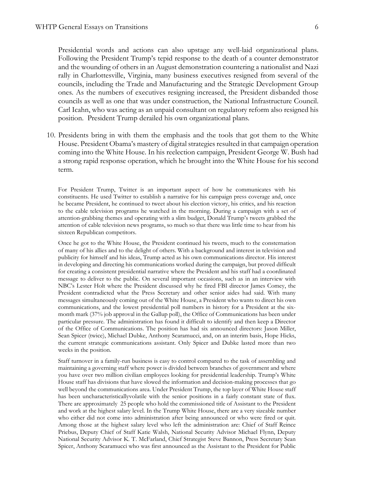Presidential words and actions can also upstage any well-laid organizational plans. Following the President Trump's tepid response to the death of a counter demonstrator and the wounding of others in an August demonstration countering a nationalist and Nazi rally in Charlottesville, Virginia, many business executives resigned from several of the councils, including the Trade and Manufacturing and the Strategic Development Group ones. As the numbers of executives resigning increased, the President disbanded those councils as well as one that was under construction, the National Infrastructure Council. Carl Icahn, who was acting as an unpaid consultant on regulatory reform also resigned his position. President Trump derailed his own organizational plans.

10. Presidents bring in with them the emphasis and the tools that got them to the White House. President Obama's mastery of digital strategies resulted in that campaign operation coming into the White House. In his reelection campaign, President George W. Bush had a strong rapid response operation, which he brought into the White House for his second term.

For President Trump, Twitter is an important aspect of how he communicates with his constituents. He used Twitter to establish a narrative for his campaign press coverage and, once he became President, he continued to tweet about his election victory, his critics, and his reaction to the cable television programs he watched in the morning. During a campaign with a set of attention-grabbing themes and operating with a slim budget, Donald Trump's tweets grabbed the attention of cable television news programs, so much so that there was little time to hear from his sixteen Republican competitors.

Once he got to the White House, the President continued his tweets, much to the consternation of many of his allies and to the delight of others. With a background and interest in television and publicity for himself and his ideas, Trump acted as his own communications director. His interest in developing and directing his communications worked during the campaign, but proved difficult for creating a consistent presidential narrative where the President and his staff had a coordinated message to deliver to the public. On several important occasions, such as in an interview with NBC's Lester Holt where the President discussed why he fired FBI director James Comey, the President contradicted what the Press Secretary and other senior aides had said. With many messages simultaneously coming out of the White House, a President who wants to direct his own communications, and the lowest presidential poll numbers in history for a President at the sixmonth mark (37% job approval in the Gallup poll), the Office of Communications has been under particular pressure. The administration has found it difficult to identify and then keep a Director of the Office of Communications. The position has had six announced directors: Jason Miller, Sean Spicer (twice), Michael Dubke, Anthony Scaramucci, and, on an interim basis, Hope Hicks, the current strategic communications assistant. Only Spicer and Dubke lasted more than two weeks in the position.

Staff turnover in a family-run business is easy to control compared to the task of assembling and maintaining a governing staff where power is divided between branches of government and where you have over two million civilian employees looking for presidential leadership. Trump's White House staff has divisions that have slowed the information and decision-making processes that go well beyond the communications area. Under President Trump, the top layer of White House staff has been uncharacteristicallyvolatile with the senior positions in a fairly constant state of flux. There are approximately 25 people who hold the commissioned title of Assistant to the President and work at the highest salary level. In the Trump White House, there are a very sizeable number who either did not come into administration after being announced or who were fired or quit. Among those at the highest salary level who left the administration are: Chief of Staff Reince Priebus, Deputy Chief of Staff Katie Walsh, National Security Advisor Michael Flynn, Deputy National Security Advisor K. T. McFarland, Chief Strategist Steve Bannon, Press Secretary Sean Spicer, Anthony Scaramucci who was first announced as the Assistant to the President for Public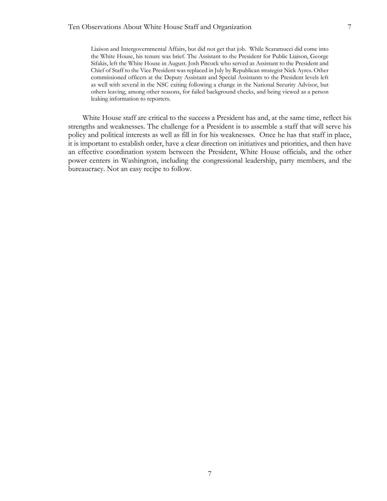Liaison and Intergovernmental Affairs, but did not get that job. While Scaramucci did come into the White House, his tenure was brief. The Assistant to the President for Public Liaison, George Sifakis, left the White House in August. Josh Pitcock who served as Assistant to the President and Chief of Staff to the Vice President was replaced in July by Republican strategist Nick Ayres. Other commissioned officers at the Deputy Assistant and Special Assistants to the President levels left as well with several in the NSC exiting following a change in the National Security Advisor, but others leaving, among other reasons, for failed background checks, and being viewed as a person leaking information to reporters.

White House staff are critical to the success a President has and, at the same time, reflect his strengths and weaknesses. The challenge for a President is to assemble a staff that will serve his policy and political interests as well as fill in for his weaknesses. Once he has that staff in place, it is important to establish order, have a clear direction on initiatives and priorities, and then have an effective coordination system between the President, White House officials, and the other power centers in Washington, including the congressional leadership, party members, and the bureaucracy. Not an easy recipe to follow.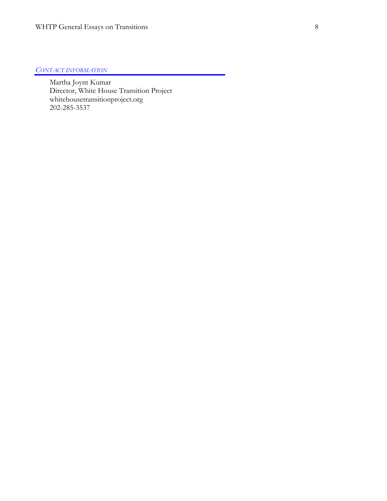#### *CONTACT INFORMATION*

Martha Joynt Kumar Director, White House Transition Project whitehousetransitionproject.org 202-285-3537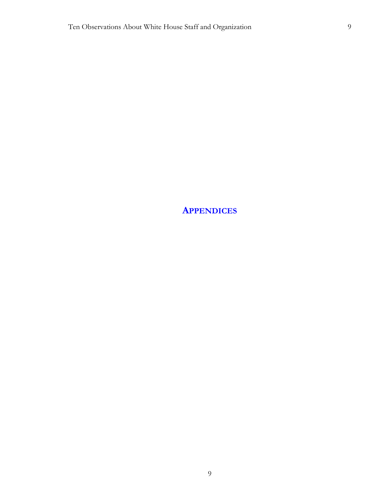<span id="page-12-0"></span>**APPENDICES**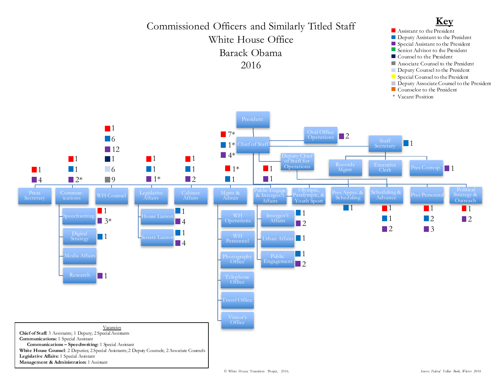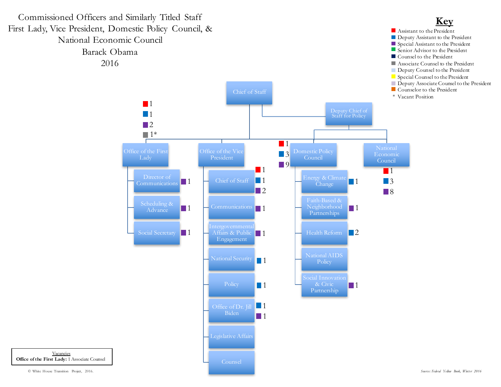